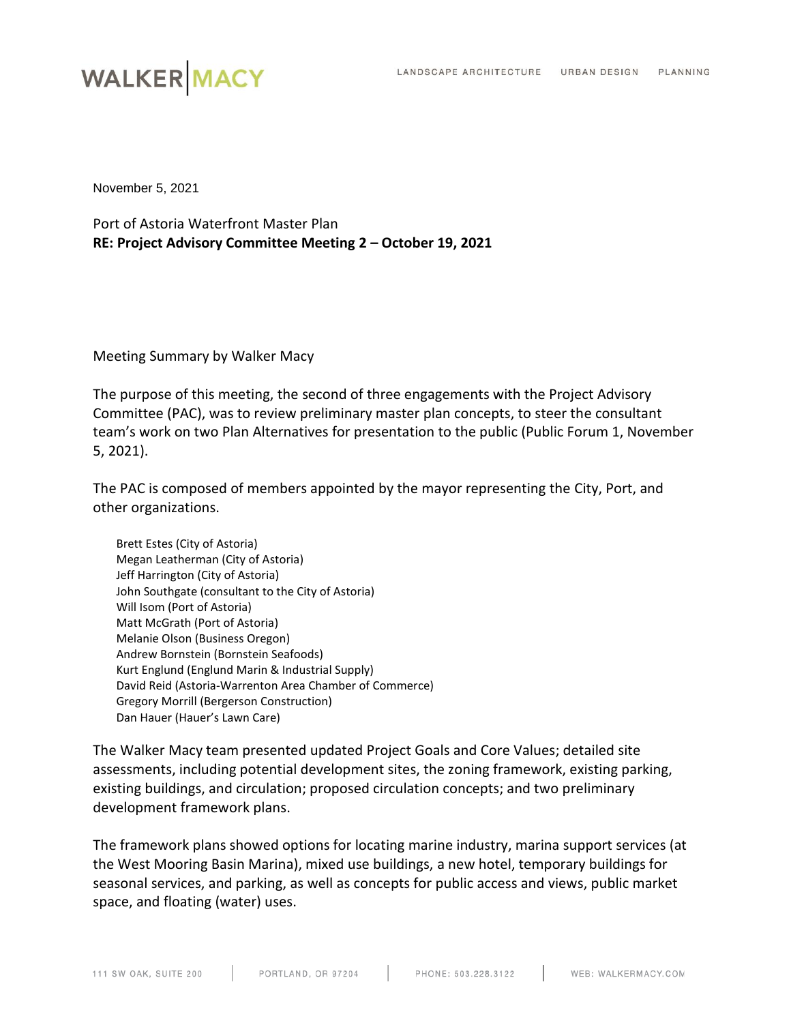## **WALKER MACY**

November 5, 2021

Port of Astoria Waterfront Master Plan **RE: Project Advisory Committee Meeting 2 – October 19, 2021**

Meeting Summary by Walker Macy

The purpose of this meeting, the second of three engagements with the Project Advisory Committee (PAC), was to review preliminary master plan concepts, to steer the consultant team's work on two Plan Alternatives for presentation to the public (Public Forum 1, November 5, 2021).

The PAC is composed of members appointed by the mayor representing the City, Port, and other organizations.

Brett Estes (City of Astoria) Megan Leatherman (City of Astoria) Jeff Harrington (City of Astoria) John Southgate (consultant to the City of Astoria) Will Isom (Port of Astoria) Matt McGrath (Port of Astoria) Melanie Olson (Business Oregon) Andrew Bornstein (Bornstein Seafoods) Kurt Englund (Englund Marin & Industrial Supply) David Reid (Astoria-Warrenton Area Chamber of Commerce) Gregory Morrill (Bergerson Construction) Dan Hauer (Hauer's Lawn Care)

The Walker Macy team presented updated Project Goals and Core Values; detailed site assessments, including potential development sites, the zoning framework, existing parking, existing buildings, and circulation; proposed circulation concepts; and two preliminary development framework plans.

The framework plans showed options for locating marine industry, marina support services (at the West Mooring Basin Marina), mixed use buildings, a new hotel, temporary buildings for seasonal services, and parking, as well as concepts for public access and views, public market space, and floating (water) uses.